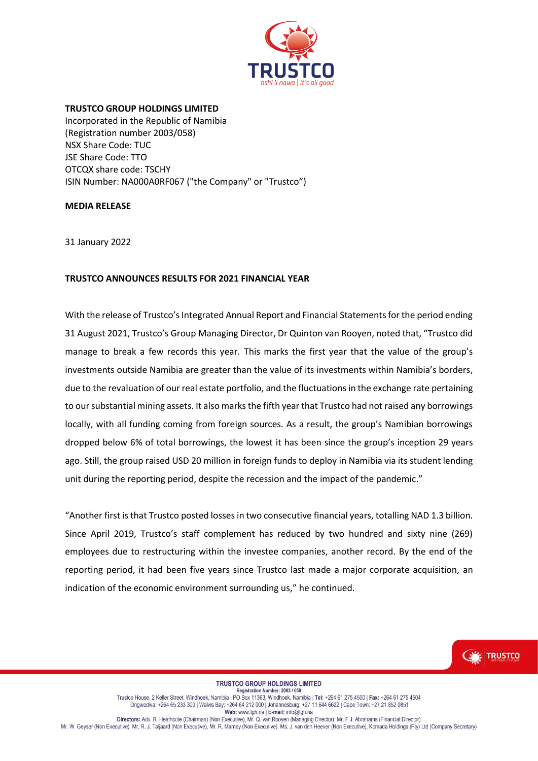

## **TRUSTCO GROUP HOLDINGS LIMITED**

Incorporated in the Republic of Namibia (Registration number 2003/058) NSX Share Code: TUC JSE Share Code: TTO OTCQX share code: TSCHY ISIN Number: NA000A0RF067 ("the Company" or "Trustco")

## **MEDIA RELEASE**

31 January 2022

## **TRUSTCO ANNOUNCES RESULTS FOR 2021 FINANCIAL YEAR**

With the release of Trustco's Integrated Annual Report and Financial Statements for the period ending 31 August 2021, Trustco's Group Managing Director, Dr Quinton van Rooyen, noted that, "Trustco did manage to break a few records this year. This marks the first year that the value of the group's investments outside Namibia are greater than the value of its investments within Namibia's borders, due to the revaluation of our real estate portfolio, and the fluctuations in the exchange rate pertaining to our substantial mining assets. It also marks the fifth year that Trustco had not raised any borrowings locally, with all funding coming from foreign sources. As a result, the group's Namibian borrowings dropped below 6% of total borrowings, the lowest it has been since the group's inception 29 years ago. Still, the group raised USD 20 million in foreign funds to deploy in Namibia via its student lending unit during the reporting period, despite the recession and the impact of the pandemic."

"Another first is that Trustco posted losses in two consecutive financial years, totalling NAD 1.3 billion. Since April 2019, Trustco's staff complement has reduced by two hundred and sixty nine (269) employees due to restructuring within the investee companies, another record. By the end of the reporting period, it had been five years since Trustco last made a major corporate acquisition, an indication of the economic environment surrounding us," he continued.



**TRUSTCO GROUP HOLDINGS LIMITED** Registration Number: 2003 / 058 Trustco House, 2 Keller Street, Windhoek, Namibia | PO Box 11363, Windhoek, Namibia | Tel: +264 61 275 4500 | Fax: +264 61 275 4504 Ongwediva: +264 65 233 300 | Walvis Bay: +264 64 212 000 | Johannesburg: +27 11 644 6622 | Cape Town: +27 21 852 0851 Web: www.tgh.na | E-mail: info@tgh.na Directors: Adv. R. Heathcote (Chairman) (Non Executive), Mr. Q. van Rooyen (Managing Director), Mr. F.J. Abrahams (Financial Director) Mr. W. Geyser (Non Executive), Mr. R. J. Taljaard (Non Executive), Mr. R. Marney (Non Executive), Ms. J. van den Heever (Non Executive), Komada Holdings (Pty) Ltd (Company Secretary)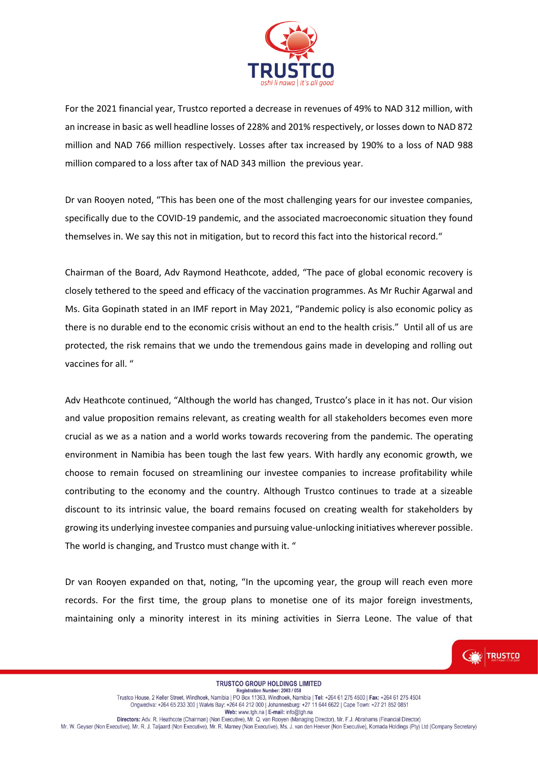

For the 2021 financial year, Trustco reported a decrease in revenues of 49% to NAD 312 million, with an increase in basic as well headline losses of 228% and 201% respectively, or losses down to NAD 872 million and NAD 766 million respectively. Losses after tax increased by 190% to a loss of NAD 988 million compared to a loss after tax of NAD 343 million the previous year.

Dr van Rooyen noted, "This has been one of the most challenging years for our investee companies, specifically due to the COVID-19 pandemic, and the associated macroeconomic situation they found themselves in. We say this not in mitigation, but to record this fact into the historical record."

Chairman of the Board, Adv Raymond Heathcote, added, "The pace of global economic recovery is closely tethered to the speed and efficacy of the vaccination programmes. As Mr Ruchir Agarwal and Ms. Gita Gopinath stated in an IMF report in May 2021, "Pandemic policy is also economic policy as there is no durable end to the economic crisis without an end to the health crisis." Until all of us are protected, the risk remains that we undo the tremendous gains made in developing and rolling out vaccines for all. "

Adv Heathcote continued, "Although the world has changed, Trustco's place in it has not. Our vision and value proposition remains relevant, as creating wealth for all stakeholders becomes even more crucial as we as a nation and a world works towards recovering from the pandemic. The operating environment in Namibia has been tough the last few years. With hardly any economic growth, we choose to remain focused on streamlining our investee companies to increase profitability while contributing to the economy and the country. Although Trustco continues to trade at a sizeable discount to its intrinsic value, the board remains focused on creating wealth for stakeholders by growing its underlying investee companies and pursuing value-unlocking initiatives wherever possible. The world is changing, and Trustco must change with it. "

Dr van Rooyen expanded on that, noting, "In the upcoming year, the group will reach even more records. For the first time, the group plans to monetise one of its major foreign investments, maintaining only a minority interest in its mining activities in Sierra Leone. The value of that



**TRUSTCO GROUP HOLDINGS LIMITED** Registration Number: 2003 / 058 Trustco House, 2 Keller Street, Windhoek, Namibia | PO Box 11363, Windhoek, Namibia | Tel: +264 61 275 4500 | Fax: +264 61 275 4504 Ongwediva: +264 65 233 300 | Walvis Bay: +264 64 212 000 | Johannesburg: +27 11 644 6622 | Cape Town: +27 21 852 0851 Web: www.tgh.na | E-mail: info@tgh.na Directors: Adv. R. Heathcote (Chairman) (Non Executive), Mr. Q. van Rooyen (Managing Director), Mr. F.J. Abrahams (Financial Director) Mr. W. Geyser (Non Executive), Mr. R. J. Taljaard (Non Executive), Mr. R. Marney (Non Executive), Ms. J. van den Heever (Non Executive), Komada Holdings (Pty) Ltd (Company Secretary)